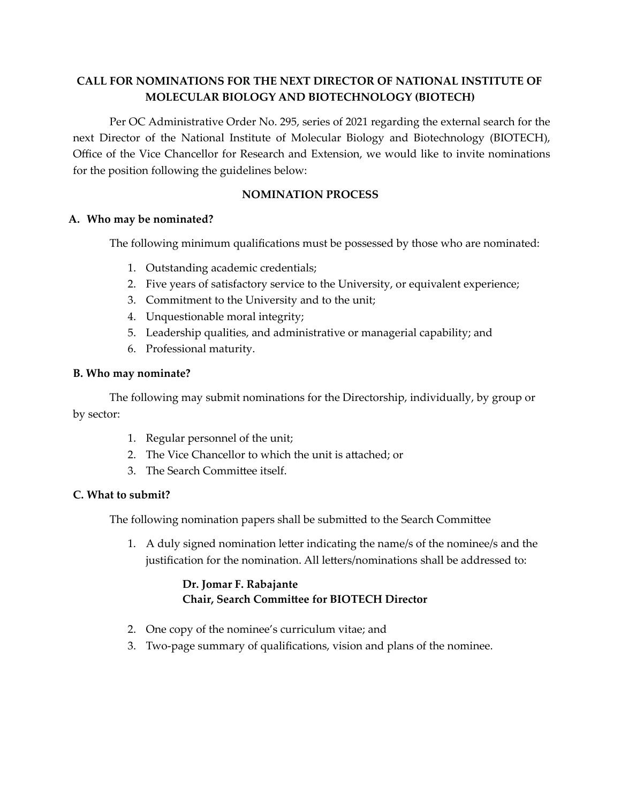# **CALL FOR NOMINATIONS FOR THE NEXT DIRECTOR OF NATIONAL INSTITUTE OF MOLECULAR BIOLOGY AND BIOTECHNOLOGY (BIOTECH)**

Per OC Administrative Order No. 295, series of 2021 regarding the external search for the next Director of the National Institute of Molecular Biology and Biotechnology (BIOTECH), Office of the Vice Chancellor for Research and Extension, we would like to invite nominations for the position following the guidelines below:

## **NOMINATION PROCESS**

## **A. Who may be nominated?**

The following minimum qualifications must be possessed by those who are nominated:

- 1. Outstanding academic credentials;
- 2. Five years of satisfactory service to the University, or equivalent experience;
- 3. Commitment to the University and to the unit;
- 4. Unquestionable moral integrity;
- 5. Leadership qualities, and administrative or managerial capability; and
- 6. Professional maturity.

### **B. Who may nominate?**

The following may submit nominations for the Directorship, individually, by group or by sector:

- 1. Regular personnel of the unit;
- 2. The Vice Chancellor to which the unit is attached; or
- 3. The Search Committee itself.

### **C. What to submit?**

The following nomination papers shall be submitted to the Search Committee

1. A duly signed nomination letter indicating the name/s of the nominee/s and the justification for the nomination. All letters/nominations shall be addressed to:

## **Dr. Jomar F. Rabajante**  $Chain, Search Committee for BIOTECH Director$

- 2. One copy of the nominee's curriculum vitae; and
- 3. Two-page summary of qualifications, vision and plans of the nominee.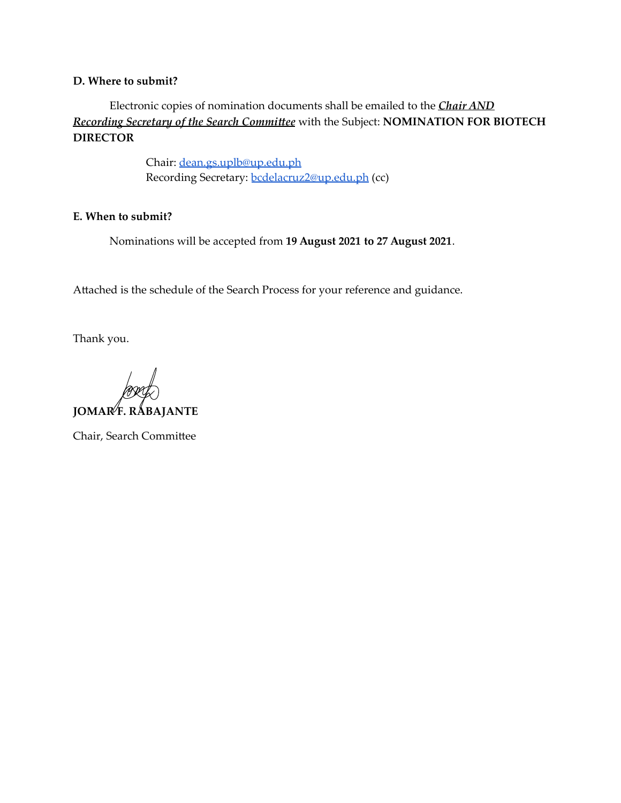#### **D. Where to submit?**

Electronic copies of nomination documents shall be emailed to the *Chair AND Recording Secretary of the Search Commiee* with the Subject: **NOMINATION FOR BIOTECH DIRECTOR**

> Chair: [dean.gs.uplb@up.edu.ph](mailto:dean.gs.uplb@up.edu.ph) Recording Secretary: [bcdelacruz2@up.edu.ph](mailto:bcdelacruz2@up.edu.ph) (cc)

### **E. When to submit?**

Nominations will be accepted from **19 August 2021 to 27 August 2021**.

Attached is the schedule of the Search Process for your reference and guidance.

Thank you.

**JOMAR F. RABAJANTE**

Chair, Search Committee